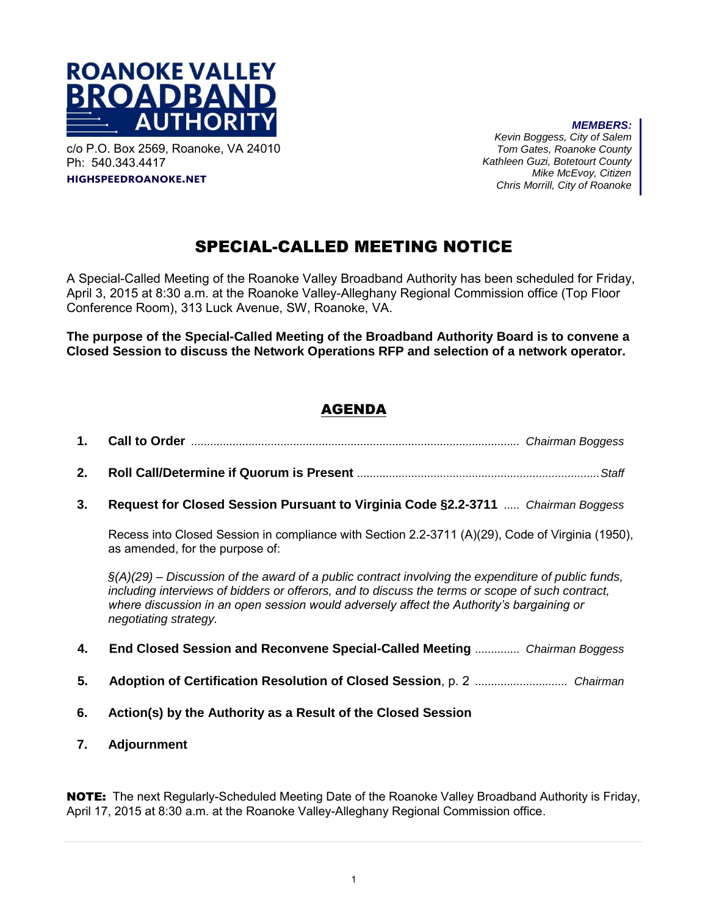

c/o P.O. Box 2569, Roanoke, VA 24010 Ph: 540.343.4417 **highspeedroanoke.net** 

*MEMBERS: Kevin Boggess, City of Salem Tom Gates, Roanoke County Kathleen Guzi, Botetourt County Mike McEvoy, Citizen Chris Morrill, City of Roanoke*

# SPECIAL-CALLED MEETING NOTICE

A Special-Called Meeting of the Roanoke Valley Broadband Authority has been scheduled for Friday, April 3, 2015 at 8:30 a.m. at the Roanoke Valley-Alleghany Regional Commission office (Top Floor Conference Room), 313 Luck Avenue, SW, Roanoke, VA.

**The purpose of the Special-Called Meeting of the Broadband Authority Board is to convene a Closed Session to discuss the Network Operations RFP and selection of a network operator.** 

## AGENDA

- **1. Call to Order** *....................................................................................................... Chairman Boggess*
- **2. Roll Call/Determine if Quorum is Present** *............................................................................ Staff*
- **3. Request for Closed Session Pursuant to Virginia Code §2.2-3711** *..... Chairman Boggess*

Recess into Closed Session in compliance with Section 2.2-3711 (A)(29), Code of Virginia (1950), as amended, for the purpose of:

*§(A)(29) – Discussion of the award of a public contract involving the expenditure of public funds, including interviews of bidders or offerors, and to discuss the terms or scope of such contract, where discussion in an open session would adversely affect the Authority's bargaining or negotiating strategy.* 

- **4. End Closed Session and Reconvene Special-Called Meeting** *.............. Chairman Boggess*
- **5. Adoption of Certification Resolution of Closed Session**, p. 2 *............................. Chairman*
- **6. Action(s) by the Authority as a Result of the Closed Session**
- **7. Adjournment**

NOTE: The next Regularly-Scheduled Meeting Date of the Roanoke Valley Broadband Authority is Friday, April 17, 2015 at 8:30 a.m. at the Roanoke Valley-Alleghany Regional Commission office.